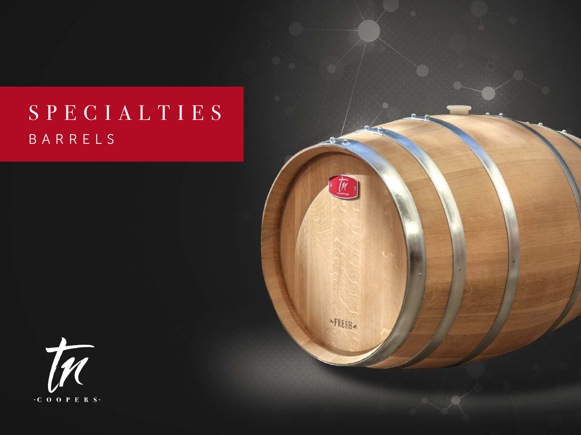# BARRELS SPECIALTIES



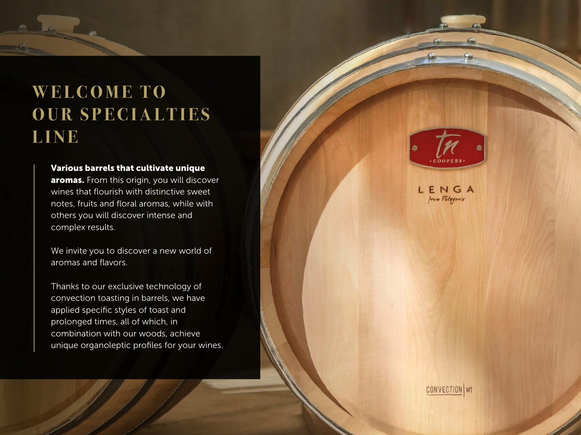# **WELCOME TO OUR SPECIALTIES LINE**

### Various barrels that cultivate unique

aromas. From this origin, you will discover wines that flourish with distinctive sweet notes, fruits and floral aromas, while with others you will discover intense and complex results.

We invite you to discover a new world of aromas and flavors.

Thanks to our exclusive technology of convection toasting in barrels, we have applied specific styles of toast and prolonged times, all of which, in combination with our woods, achieve unique organoleptic profiles for your wines.



LENGA from Patagonia

**CONVECTION** MT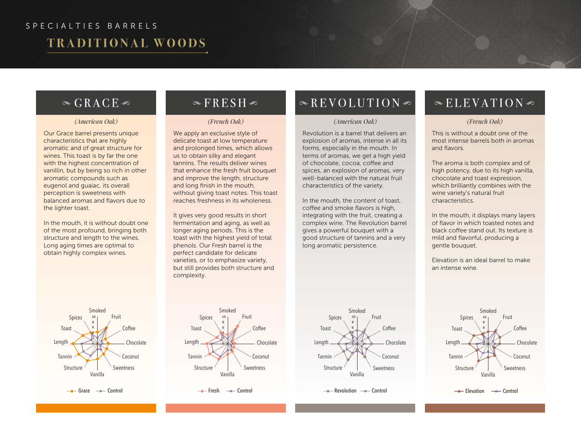## SPECIALTIES BARRELS

## **TRADITIONAL WOODS**

### $\in$  GRACE  $\in$

Our Grace barrel presents unique characteristics that are highly aromatic and of great structure for wines. This toast is by far the one with the highest concentration of vanillin, but by being so rich in other aromatic compounds such as eugenol and guaiac, its overall perception is sweetness with balanced aromas and flavors due to the lighter toast.

In the mouth, it is without doubt one of the most profound, bringing both structure and length to the wines. Long aging times are optimal to obtain highly complex wines.

## $\mathbb{R}$ FRESH $\mathbb{R}$

We apply an exclusive style of delicate toast at low temperature and prolonged times, which allows us to obtain silky and elegant tannins. The results deliver wines that enhance the fresh fruit bouquet and improve the length, structure and long finish in the mouth, without giving toast notes. This toast reaches freshness in its wholeness.

It gives very good results in short fermentation and aging, as well as longer aging periods. This is the toast with the highest yield of total phenols. Our Fresh barrel is the perfect candidate for delicate varieties, or to emphasize variety, but still provides both structure and complexity.

## $\triangle$ REVOLUTION

### *(American Oak) (French Oak) (American Oak)*

Revolution is a barrel that delivers an explosion of aromas, intense in all its forms, especially in the mouth. In terms of aromas, we get a high yield of chocolate, cocoa, coffee and spices, an explosion of aromas, very well-balanced with the natural fruit characteristics of the variety.

In the mouth, the content of toast, coffee and smoke flavors is high, integrating with the fruit, creating a complex wine. The Revolution barrel gives a powerful bouquet with a good structure of tannins and a very long aromatic persistence.

### $\mathcal{L}$ ELEVATION

### *(French Oak)*

This is without a doubt one of the most intense barrels both in aromas and flavors.

The aroma is both complex and of high potency, due to its high vanilla, chocolate and toast expression, which brilliantly combines with the wine variety's natural fruit characteristics.

In the mouth, it displays many layers of flavor in which toasted notes and black coffee stand out. Its texture is mild and flavorful, producing a gentle bouquet.

Elevation is an ideal barrel to make an intense wine.



 $\rightarrow$  Elevation  $\rightarrow$  Control



 $\rightarrow$  Grace  $\rightarrow$  Control



 $\rightarrow$  Fresh  $\rightarrow$  Control



 $\rightarrow$  Revolution  $\rightarrow$  Control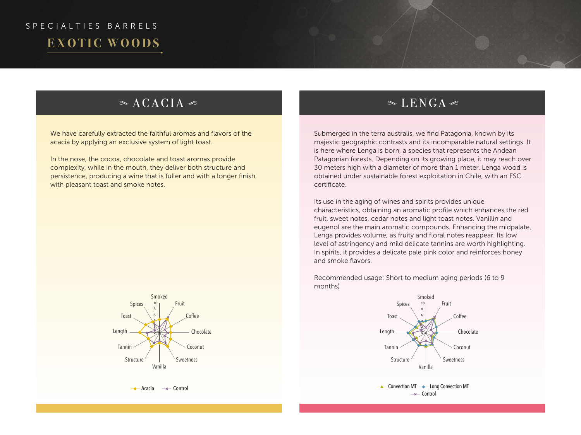# SPECIALTIES BARRELS **EXOTIC WOODS**

### $\alpha$  ACACIA

We have carefully extracted the faithful aromas and flavors of the acacia by applying an exclusive system of light toast.

In the nose, the cocoa, chocolate and toast aromas provide complexity, while in the mouth, they deliver both structure and persistence, producing a wine that is fuller and with a longer finish, with pleasant toast and smoke notes.



 $\rightarrow$  Acacia  $\rightarrow$  Control

### $\in$  LENGA  $\in$

Submerged in the terra australis, we find Patagonia, known by its majestic geographic contrasts and its incomparable natural settings. It is here where Lenga is born, a species that represents the Andean Patagonian forests. Depending on its growing place, it may reach over 30 meters high with a diameter of more than 1 meter. Lenga wood is obtained under sustainable forest exploitation in Chile, with an FSC certificate.

Its use in the aging of wines and spirits provides unique characteristics, obtaining an aromatic profile which enhances the red fruit, sweet notes, cedar notes and light toast notes. Vanillin and eugenol are the main aromatic compounds. Enhancing the midpalate, Lenga provides volume, as fruity and floral notes reappear. Its low level of astringency and mild delicate tannins are worth highlighting. In spirits, it provides a delicate pale pink color and reinforces honey and smoke flavors.

Recommended usage: Short to medium aging periods (6 to 9 months)



 $\rightarrow$  Convection MT  $\rightarrow$  Long Convection MT  $\rightarrow$  Control